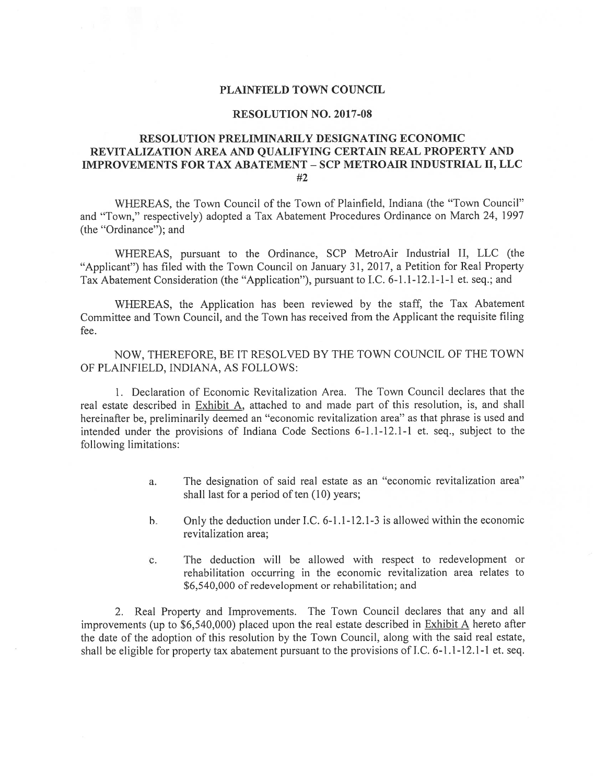## PLAINFIELD TOWN COUNCIL

## RESOLUTION NO. 2017-08

# RESOLUTION PRELIMINARILY DESIGNATING ECONOMIC REVITALIZATION AREA AND QUALIFYING CERTAIN REAL PROPERTY AND IMPROVEMENTS FOR TAX ABATEMENT -SCP METROAIR INDUSTRIAL II, LLC #2

WHEREAS, the Town Council of the Town of Plainfield, Indiana (the "Town Council" and "Town," respectively) adopted <sup>a</sup> Tax Abatement Procedures Ordinance on March 24, 1997 (the "Ordinance"); and

WHEREAS, pursuan<sup>t</sup> to the Ordinance, SCP MetroAir Industrial II, LLC (the "Applicant") has filed with the Town Council on January 31, 2017, <sup>a</sup> Petition for Real Property Tax Abatement Consideration (the "Application"), pursuan<sup>t</sup> to I.C. 6-1.1-12.1-1-1 et. seq.; and

WHEREAS, the Application has been reviewed by the staff, the Tax Abatement Committee and Town Council, and the Town has received from the Applicant the requisite filing fee.

NOW, THEREFORE, BE IT RESOLVED BY THE TOWN COUNCIL OF THE TOWN OF PLA1NFIELD, INDIANA, AS FOLLOWS:

1. Declaration of Economic Revitalization Area. The Town Council declares that the real estate described in Exhibit A, attached to and made par<sup>t</sup> of this resolution, is, and shall hereinafter be, preliminarily deemed an "economic revitalization area" as that <sup>p</sup>hrase is used and intended under the provisions of Indiana Code Sections 6-1.1-12.1-1 et. seq., subject to the following limitations:

- a. The designation of said real estate as an "economic revitalization area" shall last for a period of ten  $(10)$  years;
- b. Only the deduction under I.C.  $6-1.1-12.1-3$  is allowed within the economic revitalization area;
- c. The deduction will be allowed with respec<sup>t</sup> to redevelopment or rehabilitation occurring in the economic revitalization area relates to \$6,540,000 of redevelopment or rehabilitation; and

2. Real Property and Improvements. The Town Council declares that any and all improvements (up to \$6,540,000) placed upon the real estate described in  $Exhibit A$  hereto after the date of the adoption of this resolution by the Town Council, along with the said real estate, shall be eligible for property tax abatement pursuan<sup>t</sup> to the provisions of I.C. 6-1.1-12.1-1 et. seq.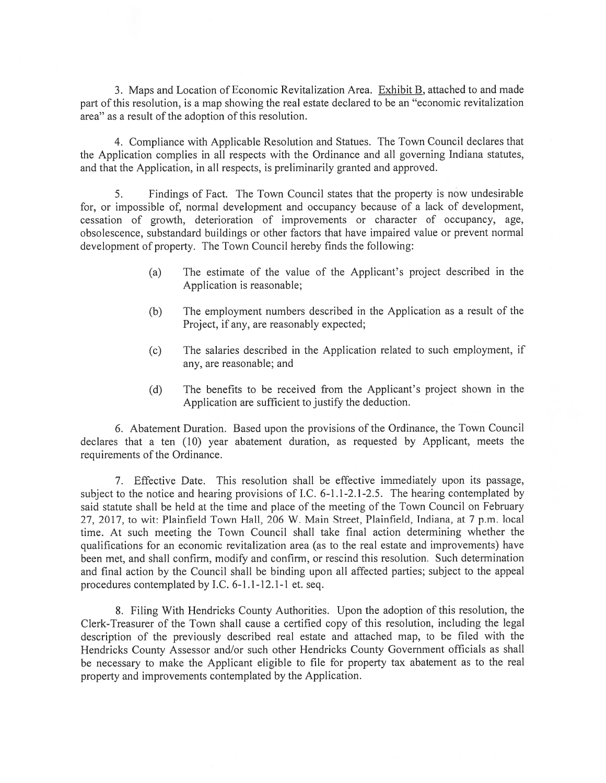3. Maps and Location of Economic Revitalization Area. Exhibit B, attached to and made par<sup>t</sup> of this resolution, is <sup>a</sup> map showing the real estate declared to be an "economic revitalization area" as <sup>a</sup> result of the adoption of this resolution.

4. Compliance with Applicable Resolution and Statues. The Town Council declares that the Application complies in all respects with the Ordinance and all governing Indiana statutes, and that the Application, in all respects, is preliminarily granted and approved.

5. findings of Fact. The Town Council states that the property is now undesirable for, or impossible of, normal development and occupancy because of <sup>a</sup> lack of development, cessation of growth, deterioration of improvements or character of occupancy, age, obsolescence, substandard buildings or other factors that have impaired value or preven<sup>t</sup> normal development of property. The Town Council hereby finds the following:

- (a) The estimate of the value of the Applicant's project described in the Application is reasonable;
- (b) The employment numbers described in the Application as <sup>a</sup> result of the Project, if any, are reasonably expected;
- (c) The salaries described in the Application related to such employment, if any, are reasonable; and
- (d) The benefits to be received from the Applicant's project shown in the Application are sufficient to justify the deduction.

6. Abatement Duration. Based upon the provisions of the Ordinance, the Town Council declares that <sup>a</sup> ten (10) year abatement duration, as requested by Applicant, meets the requirements of the Ordinance.

7. Effective Date. This resolution shall be effective immediately upon its passage, subject to the notice and hearing provisions of I.C. 6-1.1-2.1-2.5. The hearing contemplated by said statute shall be held at the time and place of the meeting of the Town Council on February 27. 2017, to wit: Plainfield Town Hall, 206 W. Main Street, Plainfield, Indiana, at 7 p.m. local time. At such meeting the Town Council shall take final action determining whether the qualifications for an economic revitalization area (as to the real estate and improvements) have been met, and shall confirm, modify and confirm, or rescind this resolution. Such determination and final action by the Council shalt be binding upon all affected parties; subject to the appeal procedures contemplated by EC. 6-1.1-12.1-1 et. seq.

8. filing With Hendricks County Authorities. Upon the adoption of this resolution, the Clerk-Treasurer of the Town shall cause <sup>a</sup> certified copy of this resolution, including the legal description of the previously described real estate and attached map, to be filed with the Hendricks County Assessor and/or such other Hendricks County Government officials as shall be necessary to make the Applicant eligible to file for property tax abatement as to the real property and improvements contemplated by the Application.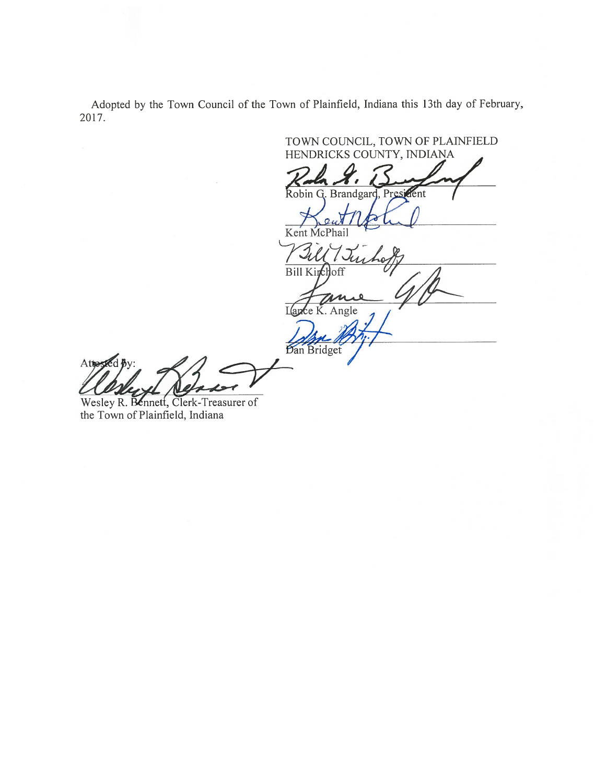Adopted by the Town Council of the Town of Plainfield, Indiana this 13th day of February, 2017.

TOWN COUNCIL, TOWN OF PLAINFIELD HENDRICKS COUNTY, FNDIANA Robin G. Brandgard, President trotul Kent McPhai Bill Kinch loff  $1116$ će K. Angle Dan Bridget

Wesley R. Bennett, Clerk-Treasurer of the Town of Plainfield, Indiana

Atte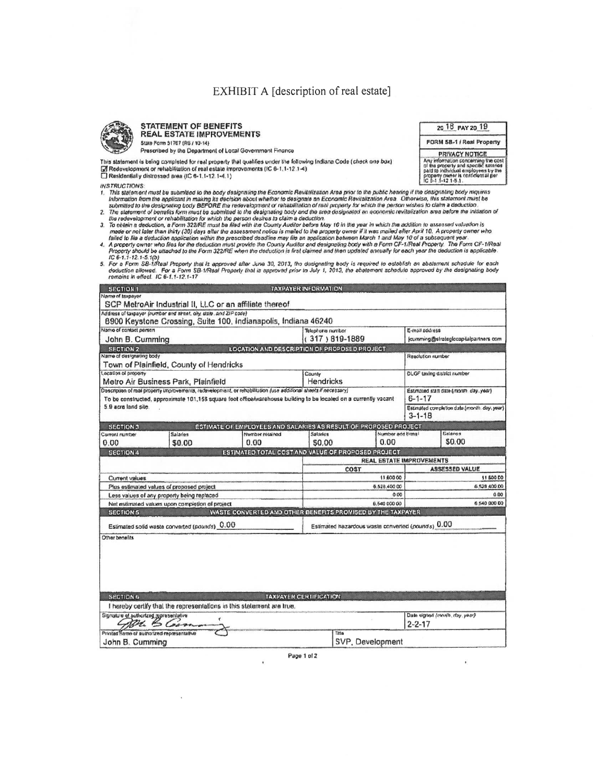# EXHIBIT A [description of real estate]

20 18 PAY 20 19

FORM SB-1 / Real Property

**PRIVACY NOTICE** Any information concerning the cost<br>of the property and specific selected<br>of the property and specific selected<br>property owner is confidential per<br>IC 8-1.1-12 1-5.1.



#### **STATEMENT OF BENEFITS REAL ESTATE IMPROVEMENTS** State Form 51767 (R6 / 10-14)

Prescribed by the Department of Local Government Finance

This statement is being completed for real property that qualifies under the following Indiana Code (check one box) M Redevelopment or rehabitution of real estate improvements (IC 6-1,1-12.1-4)<br>
Residentially distressed area (IC 6-1,1-12.1-4,1)

**INSTRUCTIONS:** 

- is a model in the analytical to the body designating the Economic Revitalization Area prior to the public hearing if the designating body requires information from the applicant in making its decision about whether to desi
- 
- the redevelopment or rehabilitation for which the person desires to claim a deduction.<br>3. To obtain a deduction, a Form 322/RE must be filed with the County Auditor before May 10 in the year in which the addition to assess 3. To obtain a decision, a Form 322/RE must be filed with the County Auditor before they be in the expective that the state is mailed to the property owner if it was mailed after April 10. A property owner who<br>made or not
- 
- 

| <b>SECTION 1</b>                                                                                                                                                                                                                       |                                                                     |                                                                         | TAXPAYER INFORMATION          |                                                              |                                                          |                                    |  |
|----------------------------------------------------------------------------------------------------------------------------------------------------------------------------------------------------------------------------------------|---------------------------------------------------------------------|-------------------------------------------------------------------------|-------------------------------|--------------------------------------------------------------|----------------------------------------------------------|------------------------------------|--|
| Name of texpayer                                                                                                                                                                                                                       |                                                                     |                                                                         |                               |                                                              |                                                          |                                    |  |
|                                                                                                                                                                                                                                        |                                                                     | SCP MetroAir Industrial II, LLC or an affiliate thereof                 |                               |                                                              |                                                          |                                    |  |
|                                                                                                                                                                                                                                        | Address of taxpayer (nomber and street, city, state, and ZIP code). | 8900 Keystone Crossing, Suite 100, Indianapolis, Indiana 46240          |                               |                                                              |                                                          |                                    |  |
| Name of contact person                                                                                                                                                                                                                 |                                                                     |                                                                         | <b>Telephone number</b>       |                                                              |                                                          | E-mail address                     |  |
| John B. Cumming                                                                                                                                                                                                                        |                                                                     |                                                                         | (317) 819-1889                |                                                              | jcumming@strateglccapitalpartners.com                    |                                    |  |
| <b>SECTION 2</b>                                                                                                                                                                                                                       |                                                                     | <b>LOCATION AND DESCRIPTION OF PROPOSED PROJECT</b>                     |                               |                                                              |                                                          |                                    |  |
| Name of designating body                                                                                                                                                                                                               |                                                                     |                                                                         |                               | Resolution number                                            |                                                          |                                    |  |
|                                                                                                                                                                                                                                        | Town of Plainfield, County of Hendricks                             |                                                                         |                               |                                                              |                                                          |                                    |  |
| Location of property<br>Metro Air Business Park, Plainfield                                                                                                                                                                            |                                                                     |                                                                         | County                        | <b>Hendricks</b>                                             |                                                          | <b>DLGF taxing district number</b> |  |
|                                                                                                                                                                                                                                        |                                                                     |                                                                         |                               |                                                              |                                                          |                                    |  |
| Description of real property improvements, redevelopment, or relatibilitation (use additional sheets if necessary)<br>To be constructed, approximate 101,158 square foot office/warehouse building to be located on a currently vacant |                                                                     |                                                                         |                               |                                                              | Estimated start date (month, day, year).<br>$6 - 1 - 17$ |                                    |  |
| 5.9 acre land site.                                                                                                                                                                                                                    |                                                                     |                                                                         |                               | Estimated completion data (month, day, year)<br>$3 - 1 - 18$ |                                                          |                                    |  |
| <b>SECTION 3</b>                                                                                                                                                                                                                       |                                                                     | <b>ESTIMATE OF EMPLOYEES AND SALARIES AS RESULT OF PROPOSED PROJECT</b> |                               |                                                              |                                                          |                                    |  |
| Current number                                                                                                                                                                                                                         | Salarles                                                            | Number ruusinod                                                         | Salades                       | Number add tional                                            |                                                          | Galarga                            |  |
| 0.00                                                                                                                                                                                                                                   | \$0.00                                                              | 0.00                                                                    | \$0.00                        | 0.00                                                         |                                                          | \$0.00                             |  |
| <b>SECTION 4</b>                                                                                                                                                                                                                       |                                                                     | ESTIMATED TOTAL COST AND VALUE OF PROPOSED PROJECT                      |                               |                                                              |                                                          |                                    |  |
|                                                                                                                                                                                                                                        |                                                                     |                                                                         |                               | REAL ESTATE IMPROVEMENTS                                     |                                                          |                                    |  |
|                                                                                                                                                                                                                                        |                                                                     |                                                                         | COST<br>11 600 00             |                                                              | <b>ASSESSED VALUE</b><br>11 500 00                       |                                    |  |
| Current values                                                                                                                                                                                                                         |                                                                     |                                                                         |                               | 6.528.400.00                                                 |                                                          | 6.528.400.00                       |  |
| Plus estimated values of proposed project<br>Less values of any property being replaced                                                                                                                                                |                                                                     |                                                                         | 000                           |                                                              | 0.00                                                     |                                    |  |
| Net estimated values upon completion of project                                                                                                                                                                                        |                                                                     |                                                                         | 6,540 000 00                  |                                                              | 6.540.000.00                                             |                                    |  |
| <b>SECTION 5</b>                                                                                                                                                                                                                       |                                                                     | WASTE CONVERTED AND OTHER BENEFITS PROMISED BY THE TAXPAYER             |                               |                                                              |                                                          |                                    |  |
|                                                                                                                                                                                                                                        | Estimated solid waste converted (pounds) 0.00                       | Estimated hazardous waste converted (pounds) 0.00                       |                               |                                                              |                                                          |                                    |  |
| Other benefits                                                                                                                                                                                                                         |                                                                     |                                                                         |                               |                                                              |                                                          |                                    |  |
|                                                                                                                                                                                                                                        |                                                                     |                                                                         |                               |                                                              |                                                          |                                    |  |
| SECTION 6                                                                                                                                                                                                                              |                                                                     |                                                                         | <b>TAXPAYER CERTIFICATION</b> |                                                              |                                                          |                                    |  |
|                                                                                                                                                                                                                                        |                                                                     | I hereby certify that the representations in this statement are true.   |                               |                                                              |                                                          |                                    |  |
| Signature of authorized representative                                                                                                                                                                                                 | ۲                                                                   |                                                                         |                               |                                                              | Date signed (month, day, year)                           |                                    |  |
| an 6 lana                                                                                                                                                                                                                              |                                                                     |                                                                         |                               |                                                              | $2 - 2 - 17$                                             |                                    |  |
| Printed hame of authorized representative                                                                                                                                                                                              |                                                                     |                                                                         | Title                         |                                                              |                                                          |                                    |  |
| John B. Cumming                                                                                                                                                                                                                        |                                                                     | SVP, Development                                                        |                               |                                                              |                                                          |                                    |  |

Page 1 of 2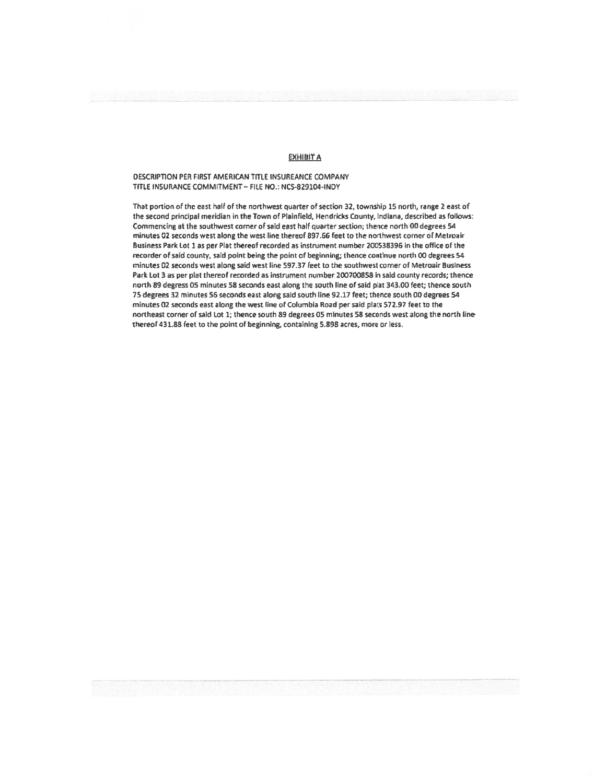### EXHIBIT A

### DESCRIPTION PER FIRST AMERICAN TITLE INSUPEANCE COMPANY TITLE INSURANCE COMMITMENT - FILE NO.: NCS-829104-INDY

That portion of the east half of the northwest quarter of section 32, township 15 north, range 2 east of the second principal meridian in the Town of Plainfield, Hendricks County, Indiana, described as follows: Commencing at the southwest corner of said east half quarter section; thence north 00 degrees 54. minutes 02 seconds west along the west line thereof 897.56 feet to the northwest corner of Metroair Business Park. Lot <sup>I</sup> as per Plat thereof recorded as instrument number 200533396 in the office of the recorder of said county, said point being the point of beginning; thence continue north 00 degrees 54 minutes 02 seconds west along said west line 597.37 feet to the southwest corner of Metroair Business Park Lot 3 as per plat thereof recorded as instrument number 200700858 in said county records; thence north 89 degress 05 minutes 58 seconds east along the south line ofsaid piat 343.00 feet; thence south 75 degrees 32 minutes 56 seconds east along said south line 92.17 feet; thence south 00 degrees 54 minutes 02 seconds east along the west line of Columbia Road per said plats 572.97 feet to the northeast corner of said Lot 1; thence south 89 degrees 05 minutes 58 seconds west along the north line thereof 431,88 feet to the point of beginning, containing 5.898 acres, more or less.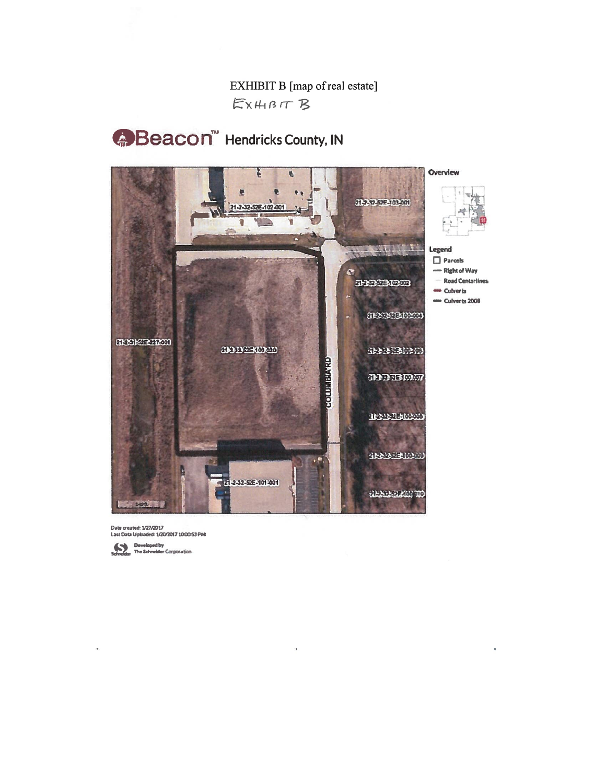EXHIBIT B [map of real estate] EXHBIT B

**Beacon**<sup>"</sup> Hendricks County, IN



Date created: 1/27/2017<br>Last Date Uploaded: 1/20/2017 1.000:53 PM